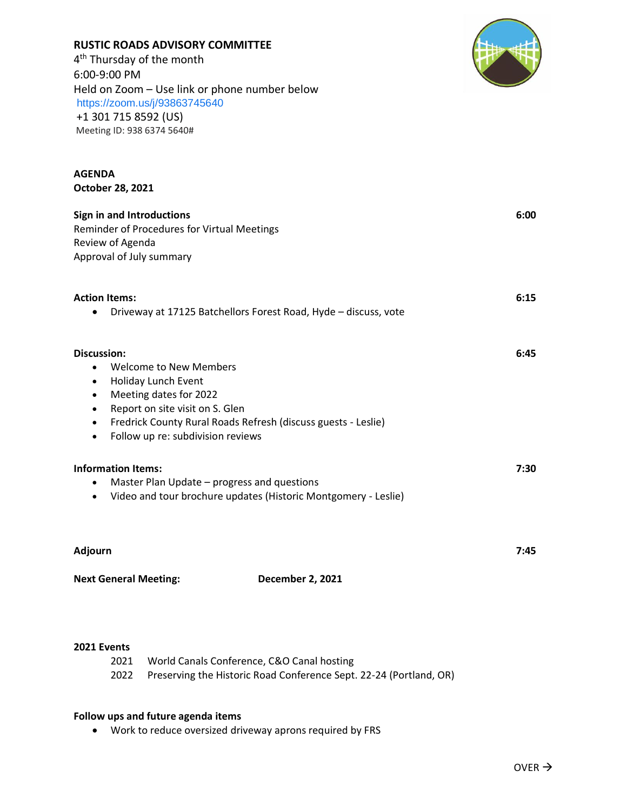| 6:00-9:00 PM<br>Held on Zoom - Use link or phone number below<br>https://zoom.us/j/93863745640<br>+1 301 715 8592 (US)<br>Meeting ID: 938 6374 5640#                                                                                                                                                                |      |  |
|---------------------------------------------------------------------------------------------------------------------------------------------------------------------------------------------------------------------------------------------------------------------------------------------------------------------|------|--|
| <b>AGENDA</b><br>October 28, 2021                                                                                                                                                                                                                                                                                   |      |  |
| Sign in and Introductions<br>Reminder of Procedures for Virtual Meetings<br>Review of Agenda<br>Approval of July summary                                                                                                                                                                                            | 6:00 |  |
| <b>Action Items:</b><br>Driveway at 17125 Batchellors Forest Road, Hyde - discuss, vote                                                                                                                                                                                                                             | 6:15 |  |
| <b>Discussion:</b><br><b>Welcome to New Members</b><br>$\bullet$<br>Holiday Lunch Event<br>$\bullet$<br>Meeting dates for 2022<br>$\bullet$<br>Report on site visit on S. Glen<br>٠<br>Fredrick County Rural Roads Refresh (discuss guests - Leslie)<br>$\bullet$<br>Follow up re: subdivision reviews<br>$\bullet$ | 6:45 |  |
| <b>Information Items:</b><br>Master Plan Update – progress and questions<br>Video and tour brochure updates (Historic Montgomery - Leslie)<br>$\bullet$                                                                                                                                                             | 7:30 |  |
| Adjourn                                                                                                                                                                                                                                                                                                             | 7:45 |  |
| <b>Next General Meeting:</b><br>December 2, 2021                                                                                                                                                                                                                                                                    |      |  |

## **2021 Events**

| 2021 World Canals Conference, C&O Canal hosting                         |
|-------------------------------------------------------------------------|
| 2022 Preserving the Historic Road Conference Sept. 22-24 (Portland, OR) |

## **Follow ups and future agenda items**

**RUSTIC ROADS ADVISORY COMMITTEE**

4<sup>th</sup> Thursday of the month

• Work to reduce oversized driveway aprons required by FRS